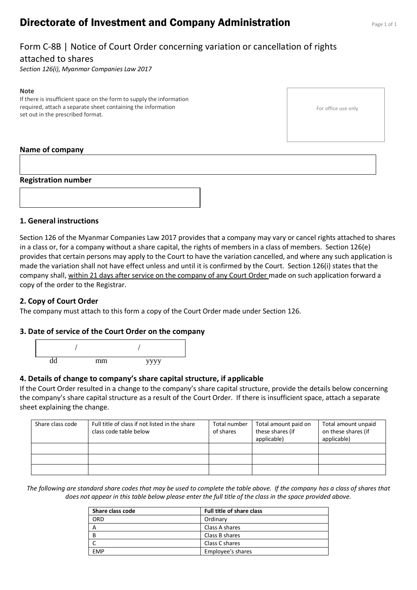# **Directorate of Investment and Company Administration** Page 1 of 1

# Form C-8B | Notice of Court Order concerning variation or cancellation of rights

## attached to shares

*Section 126(i), Myanmar Companies Law 2017*

#### **Note**

If there is insufficient space on the form to supply the information required, attach a separate sheet containing the information set out in the prescribed format.

For office use only

## **Name of company**

### **Registration number**



### **1. General instructions**

Section 126 of the Myanmar Companies Law 2017 provides that a company may vary or cancel rights attached to shares in a class or, for a company without a share capital, the rights of members in a class of members. Section 126(e) provides that certain persons may apply to the Court to have the variation cancelled, and where any such application is made the variation shall not have effect unless and until it is confirmed by the Court. Section 126(i) states that the company shall, within 21 days after service on the company of any Court Order made on such application forward a copy of the order to the Registrar.

## **2. Copy of Court Order**

The company must attach to this form a copy of the Court Order made under Section 126.

### **3. Date of service of the Court Order on the company**



## **4. Details of change to company's share capital structure, if applicable**

If the Court Order resulted in a change to the company's share capital structure, provide the details below concerning the company's share capital structure as a result of the Court Order. If there is insufficient space, attach a separate sheet explaining the change.

| Share class code | Full title of class if not listed in the share<br>class code table below | Total number<br>of shares | Total amount paid on<br>these shares (if<br>applicable) | Total amount unpaid<br>on these shares (if<br>applicable) |
|------------------|--------------------------------------------------------------------------|---------------------------|---------------------------------------------------------|-----------------------------------------------------------|
|                  |                                                                          |                           |                                                         |                                                           |
|                  |                                                                          |                           |                                                         |                                                           |
|                  |                                                                          |                           |                                                         |                                                           |

*The following are standard share codes that may be used to complete the table above. If the company has a class of shares that does not appear in this table below please enter the full title of the class in the space provided above.*

| Share class code | <b>Full title of share class</b> |  |
|------------------|----------------------------------|--|
| ORD              | Ordinary                         |  |
| A                | Class A shares                   |  |
| - B              | Class B shares                   |  |
|                  | Class C shares                   |  |
| <b>EMP</b>       | Employee's shares                |  |